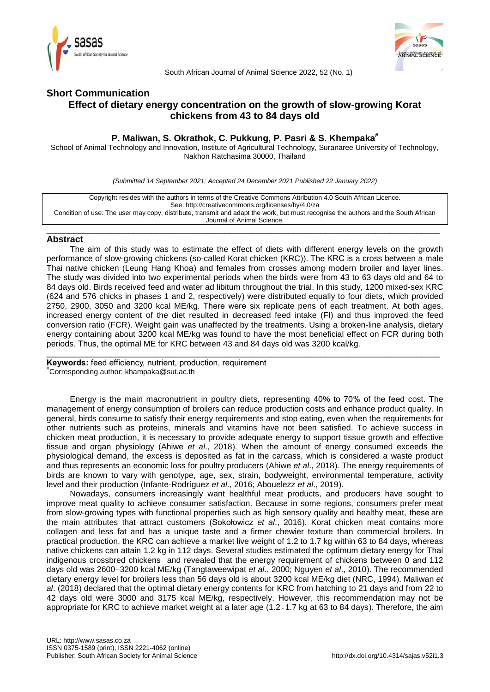



South African Journal of Animal Science 2022, 52 (No. 1)

# **Short Communication Effect of dietary energy concentration on the growth of slow-growing Korat chickens from 43 to 84 days old**

## **P. Maliwan, S. Okrathok, C. Pukkung, P. Pasri & S. Khempaka#**

School of Animal Technology and Innovation, Institute of Agricultural Technology, Suranaree University of Technology, Nakhon Ratchasima 30000, Thailand

*(Submitted 14 September 2021; Accepted 24 December 2021 Published 22 January 2022)*

Copyright resides with the authors in terms of the Creative Commons Attribution 4.0 South African Licence. See: http://creativecommons.org/licenses/by/4.0/za Condition of use: The user may copy, distribute, transmit and adapt the work, but must recognise the authors and the South African Journal of Animal Science.

\_\_\_\_\_\_\_\_\_\_\_\_\_\_\_\_\_\_\_\_\_\_\_\_\_\_\_\_\_\_\_\_\_\_\_\_\_\_\_\_\_\_\_\_\_\_\_\_\_\_\_\_\_\_\_\_\_\_\_\_\_\_\_\_\_\_\_\_\_\_\_\_\_\_\_\_\_\_\_\_\_\_\_\_\_\_

## **Abstract**

The aim of this study was to estimate the effect of diets with different energy levels on the growth performance of slow-growing chickens (so-called Korat chicken (KRC)). The KRC is a cross between a male Thai native chicken (Leung Hang Khoa) and females from crosses among modern broiler and layer lines. The study was divided into two experimental periods when the birds were from 43 to 63 days old and 64 to 84 days old. Birds received feed and water ad libitum throughout the trial. In this study, 1200 mixed-sex KRC (624 and 576 chicks in phases 1 and 2, respectively) were distributed equally to four diets, which provided 2750, 2900, 3050 and 3200 kcal ME/kg. There were six replicate pens of each treatment. At both ages, increased energy content of the diet resulted in decreased feed intake (FI) and thus improved the feed conversion ratio (FCR). Weight gain was unaffected by the treatments. Using a broken-line analysis, dietary energy containing about 3200 kcal ME/kg was found to have the most beneficial effect on FCR during both periods. Thus, the optimal ME for KRC between 43 and 84 days old was 3200 kcal/kg.

\_\_\_\_\_\_\_\_\_\_\_\_\_\_\_\_\_\_\_\_\_\_\_\_\_\_\_\_\_\_\_\_\_\_\_\_\_\_\_\_\_\_\_\_\_\_\_\_\_\_\_\_\_\_\_\_\_\_\_\_\_\_\_\_\_\_\_\_\_\_\_\_\_\_\_\_\_\_\_\_\_\_\_\_\_\_

**Keywords:** feed efficiency, nutrient, production, requirement #Corresponding author: khampaka@sut.ac.th

Energy is the main macronutrient in poultry diets, representing 40% to 70% of the feed cost. The management of energy consumption of broilers can reduce production costs and enhance product quality. In general, birds consume to satisfy their energy requirements and stop eating, even when the requirements for other nutrients such as proteins, minerals and vitamins have not been satisfied. To achieve success in chicken meat production, it is necessary to provide adequate energy to support tissue growth and effective tissue and organ physiology (Ahiwe *et al*., 2018). When the amount of energy consumed exceeds the physiological demand, the excess is deposited as fat in the carcass, which is considered a waste product and thus represents an economic loss for poultry producers (Ahiwe *et al*., 2018). The energy requirements of birds are known to vary with genotype, age, sex, strain, bodyweight, environmental temperature, activity level and their production (Infante-Rodríguez *et al*., 2016; Abouelezz *et al*., 2019).

Nowadays, consumers increasingly want healthful meat products, and producers have sought to improve meat quality to achieve consumer satisfaction. Because in some regions, consumers prefer meat from slow-growing types with functional properties such as high sensory quality and healthy meat, these are the main attributes that attract customers (Sokołowicz *et al*., 2016). Korat chicken meat contains more collagen and less fat and has a unique taste and a firmer chewier texture than commercial broilers. In practical production, the KRC can achieve a market live weight of 1.2 to 1.7 kg within 63 to 84 days, whereas native chickens can attain 1.2 kg in 112 days. Several studies estimated the optimum dietary energy for Thai indigenous crossbred chickens and revealed that the energy requirement of chickens between 0 and 112 days old was 2600–3200 kcal ME/kg (Tangtaweewipat *et al*., 2000; Nguyen *et al*., 2010). The recommended dietary energy level for broilers less than 56 days old is about 3200 kcal ME/kg diet (NRC, 1994). Maliwan *et al*. (2018) declared that the optimal dietary energy contents for KRC from hatching to 21 days and from 22 to 42 days old were 3000 and 3175 kcal ME/kg, respectively. However, this recommendation may not be appropriate for KRC to achieve market weight at a later age (1.2 - 1.7 kg at 63 to 84 days). Therefore, the aim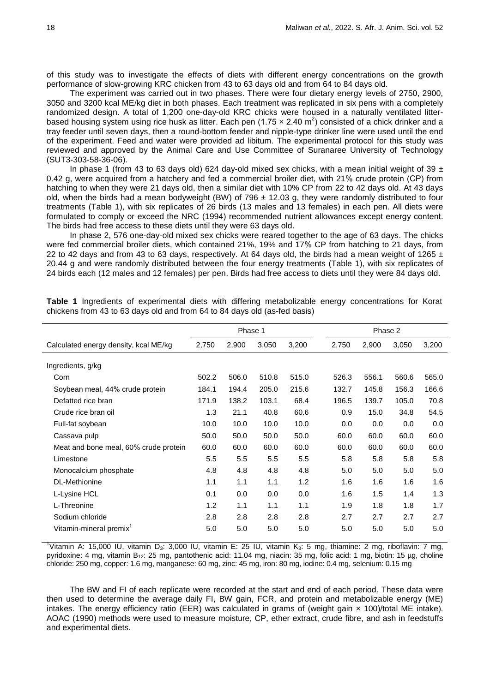of this study was to investigate the effects of diets with different energy concentrations on the growth performance of slow-growing KRC chicken from 43 to 63 days old and from 64 to 84 days old.

The experiment was carried out in two phases. There were four dietary energy levels of 2750, 2900, 3050 and 3200 kcal ME/kg diet in both phases. Each treatment was replicated in six pens with a completely randomized design. A total of 1,200 one-day-old KRC chicks were housed in a naturally ventilated litterbased housing system using rice husk as litter. Each pen (1.75  $\times$  2.40 m<sup>2</sup>) consisted of a chick drinker and a tray feeder until seven days, then a round-bottom feeder and nipple-type drinker line were used until the end of the experiment. Feed and water were provided ad libitum. The experimental protocol for this study was reviewed and approved by the Animal Care and Use Committee of Suranaree University of Technology (SUT3-303-58-36-06).

In phase 1 (from 43 to 63 days old) 624 day-old mixed sex chicks, with a mean initial weight of 39  $\pm$ 0.42 g, were acquired from a hatchery and fed a commercial broiler diet, with 21% crude protein (CP) from hatching to when they were 21 days old, then a similar diet with 10% CP from 22 to 42 days old. At 43 days old, when the birds had a mean bodyweight (BW) of 796  $\pm$  12.03 g, they were randomly distributed to four treatments (Table 1), with six replicates of 26 birds (13 males and 13 females) in each pen. All diets were formulated to comply or exceed the NRC (1994) recommended nutrient allowances except energy content. The birds had free access to these diets until they were 63 days old.

In phase 2, 576 one-day-old mixed sex chicks were reared together to the age of 63 days. The chicks were fed commercial broiler diets, which contained 21%, 19% and 17% CP from hatching to 21 days, from 22 to 42 days and from 43 to 63 days, respectively. At 64 days old, the birds had a mean weight of 1265  $\pm$ 20.44 g and were randomly distributed between the four energy treatments (Table 1), with six replicates of 24 birds each (12 males and 12 females) per pen. Birds had free access to diets until they were 84 days old.

|                                       | Phase 1 |       |       |       | Phase 2 |       |       |       |
|---------------------------------------|---------|-------|-------|-------|---------|-------|-------|-------|
| Calculated energy density, kcal ME/kg | 2,750   | 2,900 | 3,050 | 3,200 | 2,750   | 2,900 | 3,050 | 3,200 |
| Ingredients, g/kg                     |         |       |       |       |         |       |       |       |
| Corn                                  | 502.2   | 506.0 | 510.8 | 515.0 | 526.3   | 556.1 | 560.6 | 565.0 |
| Soybean meal, 44% crude protein       | 184.1   | 194.4 | 205.0 | 215.6 | 132.7   | 145.8 | 156.3 | 166.6 |
| Defatted rice bran                    | 171.9   | 138.2 | 103.1 | 68.4  | 196.5   | 139.7 | 105.0 | 70.8  |
| Crude rice bran oil                   | 1.3     | 21.1  | 40.8  | 60.6  | 0.9     | 15.0  | 34.8  | 54.5  |
| Full-fat soybean                      | 10.0    | 10.0  | 10.0  | 10.0  | 0.0     | 0.0   | 0.0   | 0.0   |
| Cassava pulp                          | 50.0    | 50.0  | 50.0  | 50.0  | 60.0    | 60.0  | 60.0  | 60.0  |
| Meat and bone meal, 60% crude protein | 60.0    | 60.0  | 60.0  | 60.0  | 60.0    | 60.0  | 60.0  | 60.0  |
| Limestone                             | 5.5     | 5.5   | 5.5   | 5.5   | 5.8     | 5.8   | 5.8   | 5.8   |
| Monocalcium phosphate                 | 4.8     | 4.8   | 4.8   | 4.8   | 5.0     | 5.0   | 5.0   | 5.0   |
| DL-Methionine                         | 1.1     | 1.1   | 1.1   | 1.2   | 1.6     | 1.6   | 1.6   | 1.6   |
| L-Lysine HCL                          | 0.1     | 0.0   | 0.0   | 0.0   | 1.6     | 1.5   | 1.4   | 1.3   |
| L-Threonine                           | 1.2     | 1.1   | 1.1   | 1.1   | 1.9     | 1.8   | 1.8   | 1.7   |
| Sodium chloride                       | 2.8     | 2.8   | 2.8   | 2.8   | 2.7     | 2.7   | 2.7   | 2.7   |
| Vitamin-mineral premix <sup>1</sup>   | 5.0     | 5.0   | 5.0   | 5.0   | 5.0     | 5.0   | 5.0   | 5.0   |

**Table 1** Ingredients of experimental diets with differing metabolizable energy concentrations for Korat chickens from 43 to 63 days old and from 64 to 84 days old (as-fed basis)

<sup>1</sup>Vitamin A: 15,000 IU, vitamin D<sub>3</sub>: 3,000 IU, vitamin E: 25 IU, vitamin K<sub>3</sub>: 5 mg, thiamine: 2 mg, riboflavin: 7 mg, pyridoxine: 4 mg, vitamin B12: 25 mg, pantothenic acid: 11.04 mg, niacin: 35 mg, folic acid: 1 mg, biotin: 15 µg, choline chloride: 250 mg, copper: 1.6 mg, manganese: 60 mg, zinc: 45 mg, iron: 80 mg, iodine: 0.4 mg, selenium: 0.15 mg

The BW and FI of each replicate were recorded at the start and end of each period. These data were then used to determine the average daily FI, BW gain, FCR, and protein and metabolizable energy (ME) intakes. The energy efficiency ratio (EER) was calculated in grams of (weight gain × 100)/total ME intake). AOAC (1990) methods were used to measure moisture, CP, ether extract, crude fibre, and ash in feedstuffs and experimental diets.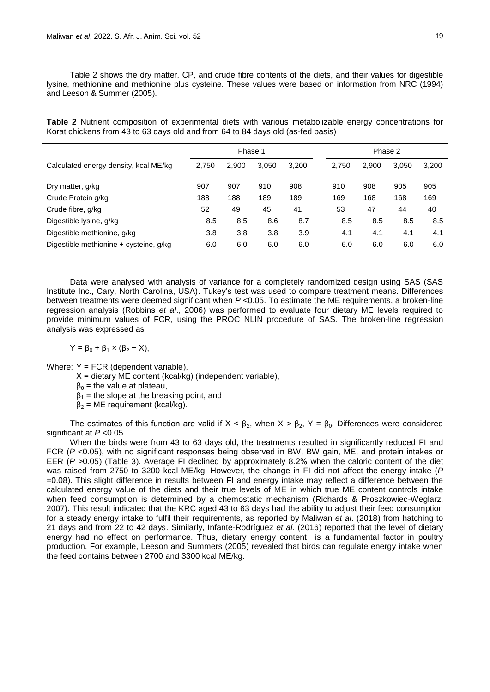Table 2 shows the dry matter, CP, and crude fibre contents of the diets, and their values for digestible lysine, methionine and methionine plus cysteine. These values were based on information from NRC (1994) and Leeson & Summer (2005).

**Table 2** Nutrient composition of experimental diets with various metabolizable energy concentrations for Korat chickens from 43 to 63 days old and from 64 to 84 days old (as-fed basis)

|                                        | Phase 1 |       |       |       | Phase 2 |       |       |       |
|----------------------------------------|---------|-------|-------|-------|---------|-------|-------|-------|
| Calculated energy density, kcal ME/kg  | 2,750   | 2.900 | 3,050 | 3,200 | 2,750   | 2.900 | 3,050 | 3,200 |
| Dry matter, g/kg                       | 907     | 907   | 910   | 908   | 910     | 908   | 905   | 905   |
| Crude Protein g/kg                     | 188     | 188   | 189   | 189   | 169     | 168   | 168   | 169   |
| Crude fibre, g/kg                      | 52      | 49    | 45    | 41    | 53      | 47    | 44    | 40    |
| Digestible lysine, g/kg                | 8.5     | 8.5   | 8.6   | 8.7   | 8.5     | 8.5   | 8.5   | 8.5   |
| Digestible methionine, g/kg            | 3.8     | 3.8   | 3.8   | 3.9   | 4.1     | 4.1   | 4.1   | 4.1   |
| Digestible methionine + cysteine, g/kg | 6.0     | 6.0   | 6.0   | 6.0   | 6.0     | 6.0   | 6.0   | 6.0   |

Data were analysed with analysis of variance for a completely randomized design using SAS (SAS Institute Inc., Cary, North Carolina, USA). Tukey's test was used to compare treatment means. Differences between treatments were deemed significant when *P* <0.05. To estimate the ME requirements, a broken-line regression analysis (Robbins *et al*., 2006) was performed to evaluate four dietary ME levels required to provide minimum values of FCR, using the PROC NLIN procedure of SAS. The broken-line regression analysis was expressed as

 $Y = \beta_0 + \beta_1 \times (\beta_2 - \chi),$ 

Where: Y = FCR (dependent variable).

- $X =$  dietary ME content (kcal/kg) (independent variable),
- $β<sub>0</sub>$  = the value at plateau,
- $\beta_1$  = the slope at the breaking point, and
- $β<sub>2</sub> = ME requirement (kcal/kg).$

The estimates of this function are valid if  $X < \beta_2$ , when  $X > \beta_2$ ,  $Y = \beta_0$ . Differences were considered significant at *P* <0.05.

When the birds were from 43 to 63 days old, the treatments resulted in significantly reduced FI and FCR (*P* <0.05), with no significant responses being observed in BW, BW gain, ME, and protein intakes or EER (*P >*0.05) (Table 3). Average FI declined by approximately 8.2% when the caloric content of the diet was raised from 2750 to 3200 kcal ME/kg. However, the change in FI did not affect the energy intake (*P*  =0.08). This slight difference in results between FI and energy intake may reflect a difference between the calculated energy value of the diets and their true levels of ME in which true ME content controls intake when feed consumption is determined by a chemostatic mechanism (Richards & Proszkowiec-Weglarz, 2007). This result indicated that the KRC aged 43 to 63 days had the ability to adjust their feed consumption for a steady energy intake to fulfil their requirements, as reported by Maliwan *et al*. (2018) from hatching to 21 days and from 22 to 42 days. Similarly, Infante-Rodríguez *et al*. (2016) reported that the level of dietary energy had no effect on performance. Thus, dietary energy content is a fundamental factor in poultry production. For example, Leeson and Summers (2005) revealed that birds can regulate energy intake when the feed contains between 2700 and 3300 kcal ME/kg.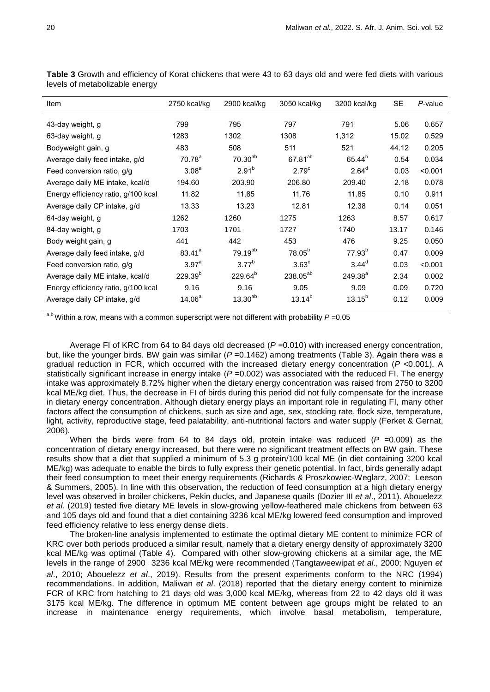| Item                                | 2750 kcal/kg       | 2900 kcal/kg        | 3050 kcal/kg         | 3200 kcal/kg       | <b>SE</b> | P-value |
|-------------------------------------|--------------------|---------------------|----------------------|--------------------|-----------|---------|
|                                     |                    |                     |                      |                    |           |         |
| 43-day weight, g                    | 799                | 795                 | 797                  | 791                | 5.06      | 0.657   |
| 63-day weight, g                    | 1283               | 1302                | 1308                 | 1,312              | 15.02     | 0.529   |
| Bodyweight gain, g                  | 483                | 508                 | 511                  | 521                | 44.12     | 0.205   |
| Average daily feed intake, g/d      | 70.78 <sup>a</sup> | $70.30^{ab}$        | 67.81 <sup>ab</sup>  | 65.44 <sup>b</sup> | 0.54      | 0.034   |
| Feed conversion ratio, g/g          | 3.08 <sup>a</sup>  | $2.91^{b}$          | 2.79 <sup>c</sup>    | 2.64 <sup>d</sup>  | 0.03      | < 0.001 |
| Average daily ME intake, kcal/d     | 194.60             | 203.90              | 206.80               | 209.40             | 2.18      | 0.078   |
| Energy efficiency ratio, g/100 kcal | 11.82              | 11.85               | 11.76                | 11.85              | 0.10      | 0.911   |
| Average daily CP intake, g/d        | 13.33              | 13.23               | 12.81                | 12.38              | 0.14      | 0.051   |
| 64-day weight, g                    | 1262               | 1260                | 1275                 | 1263               | 8.57      | 0.617   |
| 84-day weight, g                    | 1703               | 1701                | 1727                 | 1740               | 13.17     | 0.146   |
| Body weight gain, g                 | 441                | 442                 | 453                  | 476                | 9.25      | 0.050   |
| Average daily feed intake, g/d      | $83.41^{a}$        | 79.19 <sup>ab</sup> | 78.05 <sup>b</sup>   | $77.93^{b}$        | 0.47      | 0.009   |
| Feed conversion ratio, g/g          | $3.97^{\circ}$     | $3.77^{b}$          | $3.63^{\circ}$       | $3.44^{\circ}$     | 0.03      | < 0.001 |
| Average daily ME intake, kcal/d     | $229.39^{b}$       | 229.64 <sup>b</sup> | 238.05 <sup>ab</sup> | $249.38^{a}$       | 2.34      | 0.002   |
| Energy efficiency ratio, g/100 kcal | 9.16               | 9.16                | 9.05                 | 9.09               | 0.09      | 0.720   |
| Average daily CP intake, g/d        | 14.06 <sup>a</sup> | $13.30^{ab}$        | $13.14^{b}$          | $13.15^{b}$        | 0.12      | 0.009   |

**Table 3** Growth and efficiency of Korat chickens that were 43 to 63 days old and were fed diets with various levels of metabolizable energy

a,b Within a row, means with a common superscript were not different with probability *P* =0.05

Average FI of KRC from 64 to 84 days old decreased (*P* =0.010) with increased energy concentration, but, like the younger birds. BW gain was similar (*P* =0.1462) among treatments (Table 3). Again there was a gradual reduction in FCR, which occurred with the increased dietary energy concentration (*P* <0.001). A statistically significant increase in energy intake (*P* =0.002) was associated with the reduced FI. The energy intake was approximately 8.72% higher when the dietary energy concentration was raised from 2750 to 3200 kcal ME/kg diet. Thus, the decrease in FI of birds during this period did not fully compensate for the increase in dietary energy concentration. Although dietary energy plays an important role in regulating FI, many other factors affect the consumption of chickens, such as size and age, sex, stocking rate, flock size, temperature, light, activity, reproductive stage, feed palatability, anti-nutritional factors and water supply (Ferket & Gernat, 2006).

When the birds were from 64 to 84 days old, protein intake was reduced (P = 0.009) as the concentration of dietary energy increased, but there were no significant treatment effects on BW gain. These results show that a diet that supplied a minimum of 5.3 g protein/100 kcal ME (in diet containing 3200 kcal ME/kg) was adequate to enable the birds to fully express their genetic potential. In fact, birds generally adapt their feed consumption to meet their energy requirements (Richards & Proszkowiec-Weglarz, 2007; Leeson & Summers, 2005). In line with this observation, the reduction of feed consumption at a high dietary energy level was observed in broiler chickens, Pekin ducks, and Japanese quails (Dozier III *et al*., 2011). Abouelezz *et al*. (2019) tested five dietary ME levels in slow-growing yellow-feathered male chickens from between 63 and 105 days old and found that a diet containing 3236 kcal ME/kg lowered feed consumption and improved feed efficiency relative to less energy dense diets.

The broken-line analysis implemented to estimate the optimal dietary ME content to minimize FCR of KRC over both periods produced a similar result, namely that a dietary energy density of approximately 3200 kcal ME/kg was optimal (Table 4). Compared with other slow-growing chickens at a similar age, the ME levels in the range of 2900 - 3236 kcal ME/kg were recommended (Tangtaweewipat *et al*., 2000; Nguyen *et al*., 2010; Abouelezz *et al*., 2019). Results from the present experiments conform to the NRC (1994) recommendations. In addition, Maliwan *et al*. (2018) reported that the dietary energy content to minimize FCR of KRC from hatching to 21 days old was 3,000 kcal ME/kg, whereas from 22 to 42 days old it was 3175 kcal ME/kg. The difference in optimum ME content between age groups might be related to an increase in maintenance energy requirements, which involve basal metabolism, temperature,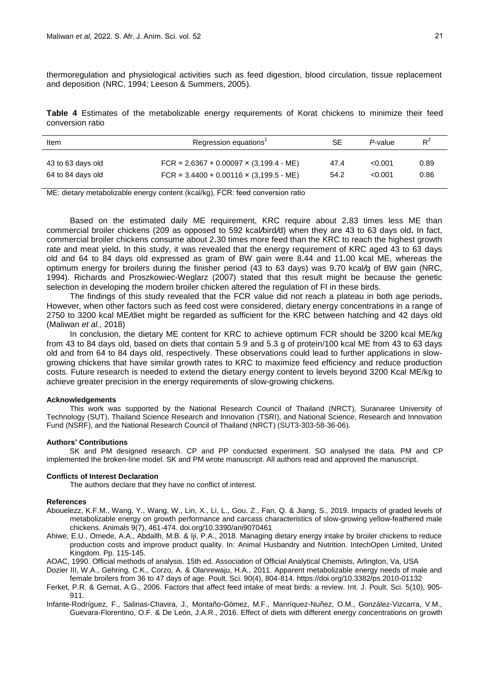thermoregulation and physiological activities such as feed digestion, blood circulation, tissue replacement and deposition (NRC, 1994; Leeson & Summers, 2005).

**Table 4** Estimates of the metabolizable energy requirements of Korat chickens to minimize their feed conversion ratio

| <b>Item</b>       | Regression equations'                          | SЕ   | P-value | $R^2$ |
|-------------------|------------------------------------------------|------|---------|-------|
| 43 to 63 days old | FCR = $2.6367 + 0.00097 \times (3.199.4 - ME)$ | 47.4 | < 0.001 | 0.89  |
| 64 to 84 days old | FCR = $3.4400 + 0.00116 \times (3.199.5 - ME)$ | 54.2 | < 0.001 | 0.86  |

ME: dietary metabolizable energy content (kcal/kg), FCR: feed conversion ratio

Based on the estimated daily ME requirement, KRC require about 2*.*83 times less ME than commercial broiler chickens (209 as opposed to 592 kcal*/*bird*/*d) when they are 43 to 63 days old*.* In fact, commercial broiler chickens consume about 2*.*30 times more feed than the KRC to reach the highest growth rate and meat yield*.* In this study, it was revealed that the energy requirement of KRC aged 43 to 63 days old and 64 to 84 days old expressed as gram of BW gain were 8*.*44 and 11*.*00 kcal ME, whereas the optimum energy for broilers during the finisher period (43 to 63 days) was 9*.*70 kcal*/*g of BW gain (NRC, 1994). Richards and Proszkowiec-Weglarz (2007) stated that this result might be because the genetic selection in developing the modern broiler chicken altered the regulation of FI in these birds.

The findings of this study revealed that the FCR value did not reach a plateau in both age periods*.*  However, when other factors such as feed cost were considered, dietary energy concentrations in a range of 2750 to 3200 kcal ME*/*diet might be regarded as sufficient for the KRC between hatching and 42 days old (Maliwan *et al.*, 2018)

In conclusion, the dietary ME content for KRC to achieve optimum FCR should be 3200 kcal ME/kg from 43 to 84 days old, based on diets that contain 5.9 and 5.3 g of protein/100 kcal ME from 43 to 63 days old and from 64 to 84 days old, respectively. These observations could lead to further applications in slowgrowing chickens that have similar growth rates to KRC to maximize feed efficiency and reduce production costs. Future research is needed to extend the dietary energy content to levels beyond 3200 Kcal ME/kg to achieve greater precision in the energy requirements of slow-growing chickens.

## **Acknowledgements**

This work was supported by the National Research Council of Thailand (NRCT), Suranaree University of Technology (SUT), Thailand Science Research and Innovation (TSRI), and National Science, Research and Innovation Fund (NSRF), and the National Research Council of Thailand (NRCT) (SUT3-303-58-36-06).

### **Authors' Contributions**

SK and PM designed research. CP and PP conducted experiment. SO analysed the data. PM and CP implemented the broken-line model. SK and PM wrote manuscript. All authors read and approved the manuscript.

#### **Conflicts of Interest Declaration**

The authors declare that they have no conflict of interest.

### **References**

- Abouelezz, K.F.M., Wang, Y., Wang, W., Lin, X., Li, L., Gou, Z., Fan, Q. & Jiang, S., 2019. Impacts of graded levels of metabolizable energy on growth performance and carcass characteristics of slow-growing yellow-feathered male chickens. Animals 9(7), 461-474. doi.org/10.3390/ani9070461
- Ahiwe, E.U., Omede, A.A., Abdallh, M.B. & Iji, P.A., 2018. Managing dietary energy intake by broiler chickens to reduce production costs and improve product quality. In: Animal Husbandry and Nutrition. IntechOpen Limited, United Kingdom. Pp. 115-145.
- AOAC, 1990. Official methods of analysis. 15th ed. Association of Official Analytical Chemists, Arlington, Va, USA
- Dozier III, W.A., Gehring, C.K., Corzo, A. & Olanrewaju, H.A., 2011. Apparent metabolizable energy needs of male and female broilers from 36 to 47 days of age. Poult. Sci. 90(4), 804-814. https://doi.org/10.3382/ps.2010-01132
- Ferket, P.R. & Gernat, A.G., 2006. Factors that affect feed intake of meat birds: a review. Int. J. Poult. Sci. 5(10), 905- 911.
- Infante-Rodríguez, F., Salinas-Chavira, J., Montaño-Gómez, M.F., Manríquez-Nuñez, O.M., González-Vizcarra, V.M., Guevara-Florentino, O.F. & De León, J.A.R., 2016. Effect of diets with different energy concentrations on growth